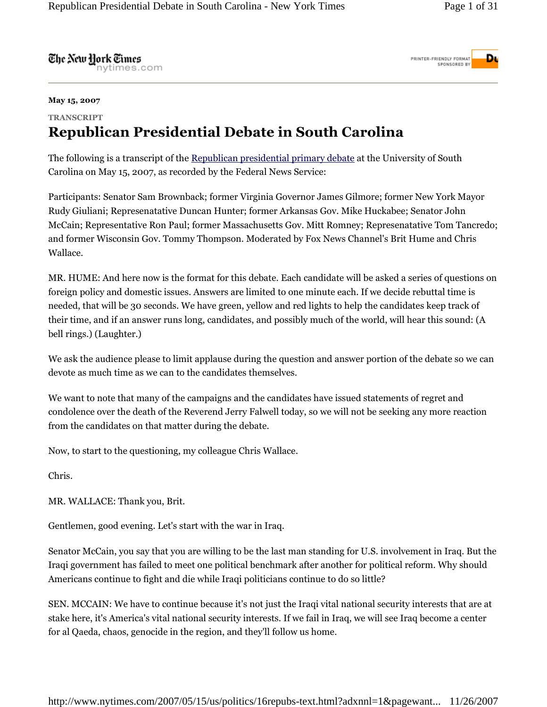The New Hork Times

es.com



#### May 15, 2007

# **TRANSCRIPT** Republican Presidential Debate in South Carolina

The following is a transcript of the Republican presidential primary debate at the University of South Carolina on May 15, 2007, as recorded by the Federal News Service:

Participants: Senator Sam Brownback; former Virginia Governor James Gilmore; former New York Mayor Rudy Giuliani; Represenatative Duncan Hunter; former Arkansas Gov. Mike Huckabee; Senator John McCain; Representative Ron Paul; former Massachusetts Gov. Mitt Romney; Represenatative Tom Tancredo; and former Wisconsin Gov. Tommy Thompson. Moderated by Fox News Channel's Brit Hume and Chris Wallace.

MR. HUME: And here now is the format for this debate. Each candidate will be asked a series of questions on foreign policy and domestic issues. Answers are limited to one minute each. If we decide rebuttal time is needed, that will be 30 seconds. We have green, yellow and red lights to help the candidates keep track of their time, and if an answer runs long, candidates, and possibly much of the world, will hear this sound: (A bell rings.) (Laughter.)

We ask the audience please to limit applause during the question and answer portion of the debate so we can devote as much time as we can to the candidates themselves.

We want to note that many of the campaigns and the candidates have issued statements of regret and condolence over the death of the Reverend Jerry Falwell today, so we will not be seeking any more reaction from the candidates on that matter during the debate.

Now, to start to the questioning, my colleague Chris Wallace.

Chris.

MR. WALLACE: Thank you, Brit.

Gentlemen, good evening. Let's start with the war in Iraq.

Senator McCain, you say that you are willing to be the last man standing for U.S. involvement in Iraq. But the Iraqi government has failed to meet one political benchmark after another for political reform. Why should Americans continue to fight and die while Iraqi politicians continue to do so little?

SEN. MCCAIN: We have to continue because it's not just the Iraqi vital national security interests that are at stake here, it's America's vital national security interests. If we fail in Iraq, we will see Iraq become a center for al Qaeda, chaos, genocide in the region, and they'll follow us home.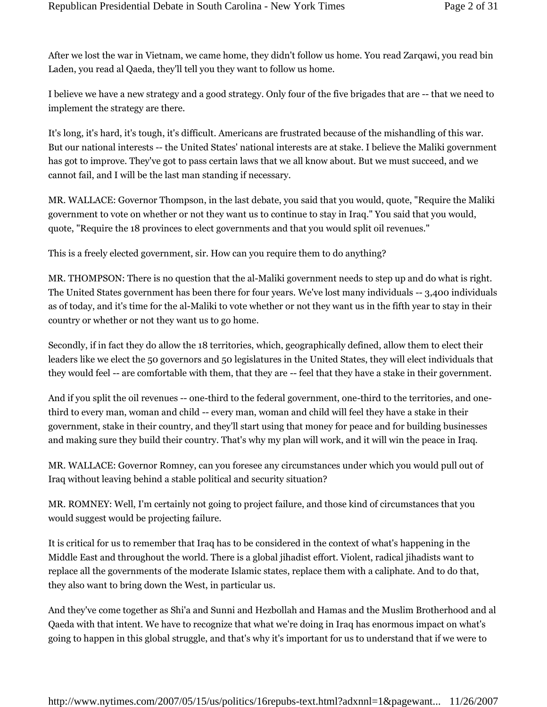After we lost the war in Vietnam, we came home, they didn't follow us home. You read Zarqawi, you read bin Laden, you read al Qaeda, they'll tell you they want to follow us home.

I believe we have a new strategy and a good strategy. Only four of the five brigades that are -- that we need to implement the strategy are there.

It's long, it's hard, it's tough, it's difficult. Americans are frustrated because of the mishandling of this war. But our national interests -- the United States' national interests are at stake. I believe the Maliki government has got to improve. They've got to pass certain laws that we all know about. But we must succeed, and we cannot fail, and I will be the last man standing if necessary.

MR. WALLACE: Governor Thompson, in the last debate, you said that you would, quote, "Require the Maliki government to vote on whether or not they want us to continue to stay in Iraq." You said that you would, quote, "Require the 18 provinces to elect governments and that you would split oil revenues."

This is a freely elected government, sir. How can you require them to do anything?

MR. THOMPSON: There is no question that the al-Maliki government needs to step up and do what is right. The United States government has been there for four years. We've lost many individuals -- 3,400 individuals as of today, and it's time for the al-Maliki to vote whether or not they want us in the fifth year to stay in their country or whether or not they want us to go home.

Secondly, if in fact they do allow the 18 territories, which, geographically defined, allow them to elect their leaders like we elect the 50 governors and 50 legislatures in the United States, they will elect individuals that they would feel -- are comfortable with them, that they are -- feel that they have a stake in their government.

And if you split the oil revenues -- one-third to the federal government, one-third to the territories, and onethird to every man, woman and child -- every man, woman and child will feel they have a stake in their government, stake in their country, and they'll start using that money for peace and for building businesses and making sure they build their country. That's why my plan will work, and it will win the peace in Iraq.

MR. WALLACE: Governor Romney, can you foresee any circumstances under which you would pull out of Iraq without leaving behind a stable political and security situation?

MR. ROMNEY: Well, I'm certainly not going to project failure, and those kind of circumstances that you would suggest would be projecting failure.

It is critical for us to remember that Iraq has to be considered in the context of what's happening in the Middle East and throughout the world. There is a global jihadist effort. Violent, radical jihadists want to replace all the governments of the moderate Islamic states, replace them with a caliphate. And to do that, they also want to bring down the West, in particular us.

And they've come together as Shi'a and Sunni and Hezbollah and Hamas and the Muslim Brotherhood and al Qaeda with that intent. We have to recognize that what we're doing in Iraq has enormous impact on what's going to happen in this global struggle, and that's why it's important for us to understand that if we were to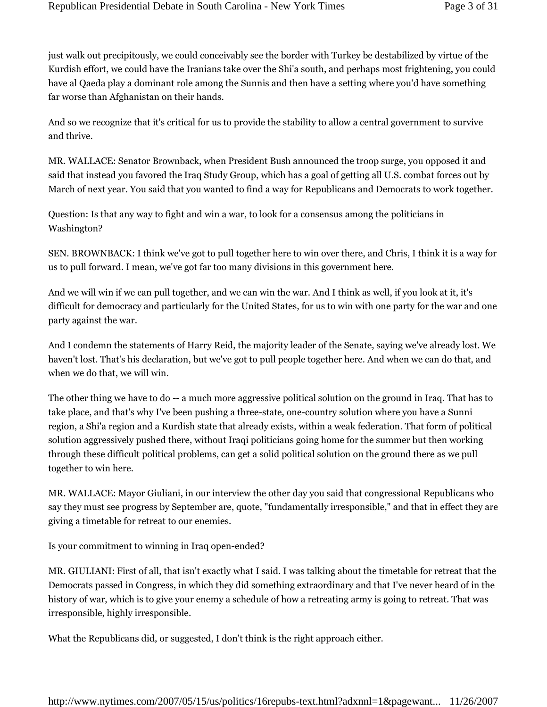just walk out precipitously, we could conceivably see the border with Turkey be destabilized by virtue of the Kurdish effort, we could have the Iranians take over the Shi'a south, and perhaps most frightening, you could have al Qaeda play a dominant role among the Sunnis and then have a setting where you'd have something far worse than Afghanistan on their hands.

And so we recognize that it's critical for us to provide the stability to allow a central government to survive and thrive.

MR. WALLACE: Senator Brownback, when President Bush announced the troop surge, you opposed it and said that instead you favored the Iraq Study Group, which has a goal of getting all U.S. combat forces out by March of next year. You said that you wanted to find a way for Republicans and Democrats to work together.

Question: Is that any way to fight and win a war, to look for a consensus among the politicians in Washington?

SEN. BROWNBACK: I think we've got to pull together here to win over there, and Chris, I think it is a way for us to pull forward. I mean, we've got far too many divisions in this government here.

And we will win if we can pull together, and we can win the war. And I think as well, if you look at it, it's difficult for democracy and particularly for the United States, for us to win with one party for the war and one party against the war.

And I condemn the statements of Harry Reid, the majority leader of the Senate, saying we've already lost. We haven't lost. That's his declaration, but we've got to pull people together here. And when we can do that, and when we do that, we will win.

The other thing we have to do -- a much more aggressive political solution on the ground in Iraq. That has to take place, and that's why I've been pushing a three-state, one-country solution where you have a Sunni region, a Shi'a region and a Kurdish state that already exists, within a weak federation. That form of political solution aggressively pushed there, without Iraqi politicians going home for the summer but then working through these difficult political problems, can get a solid political solution on the ground there as we pull together to win here.

MR. WALLACE: Mayor Giuliani, in our interview the other day you said that congressional Republicans who say they must see progress by September are, quote, "fundamentally irresponsible," and that in effect they are giving a timetable for retreat to our enemies.

Is your commitment to winning in Iraq open-ended?

MR. GIULIANI: First of all, that isn't exactly what I said. I was talking about the timetable for retreat that the Democrats passed in Congress, in which they did something extraordinary and that I've never heard of in the history of war, which is to give your enemy a schedule of how a retreating army is going to retreat. That was irresponsible, highly irresponsible.

What the Republicans did, or suggested, I don't think is the right approach either.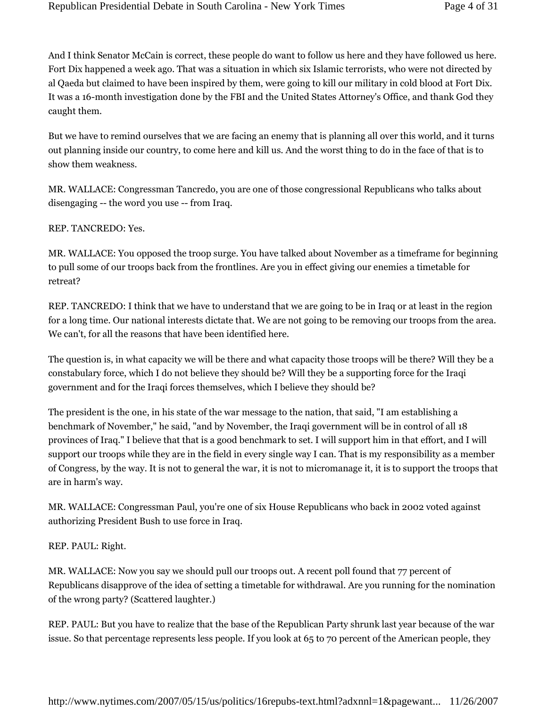And I think Senator McCain is correct, these people do want to follow us here and they have followed us here. Fort Dix happened a week ago. That was a situation in which six Islamic terrorists, who were not directed by al Qaeda but claimed to have been inspired by them, were going to kill our military in cold blood at Fort Dix. It was a 16-month investigation done by the FBI and the United States Attorney's Office, and thank God they caught them.

But we have to remind ourselves that we are facing an enemy that is planning all over this world, and it turns out planning inside our country, to come here and kill us. And the worst thing to do in the face of that is to show them weakness.

MR. WALLACE: Congressman Tancredo, you are one of those congressional Republicans who talks about disengaging -- the word you use -- from Iraq.

# REP. TANCREDO: Yes.

MR. WALLACE: You opposed the troop surge. You have talked about November as a timeframe for beginning to pull some of our troops back from the frontlines. Are you in effect giving our enemies a timetable for retreat?

REP. TANCREDO: I think that we have to understand that we are going to be in Iraq or at least in the region for a long time. Our national interests dictate that. We are not going to be removing our troops from the area. We can't, for all the reasons that have been identified here.

The question is, in what capacity we will be there and what capacity those troops will be there? Will they be a constabulary force, which I do not believe they should be? Will they be a supporting force for the Iraqi government and for the Iraqi forces themselves, which I believe they should be?

The president is the one, in his state of the war message to the nation, that said, "I am establishing a benchmark of November," he said, "and by November, the Iraqi government will be in control of all 18 provinces of Iraq." I believe that that is a good benchmark to set. I will support him in that effort, and I will support our troops while they are in the field in every single way I can. That is my responsibility as a member of Congress, by the way. It is not to general the war, it is not to micromanage it, it is to support the troops that are in harm's way.

MR. WALLACE: Congressman Paul, you're one of six House Republicans who back in 2002 voted against authorizing President Bush to use force in Iraq.

### REP. PAUL: Right.

MR. WALLACE: Now you say we should pull our troops out. A recent poll found that 77 percent of Republicans disapprove of the idea of setting a timetable for withdrawal. Are you running for the nomination of the wrong party? (Scattered laughter.)

REP. PAUL: But you have to realize that the base of the Republican Party shrunk last year because of the war issue. So that percentage represents less people. If you look at 65 to 70 percent of the American people, they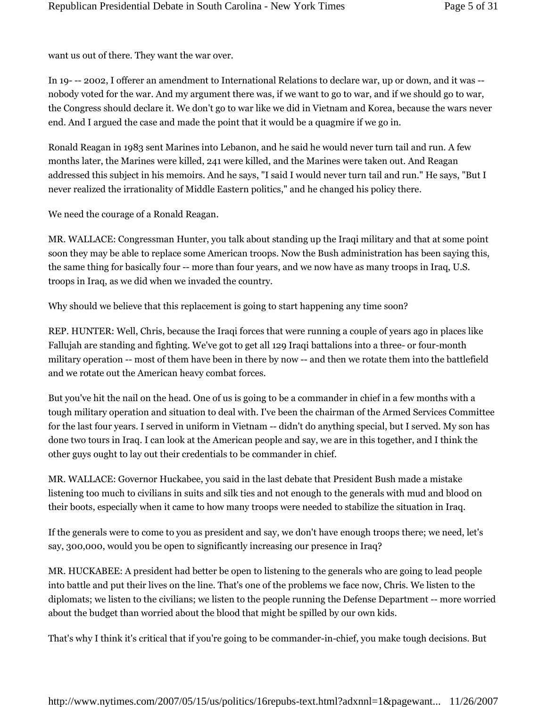want us out of there. They want the war over.

In 19- -- 2002, I offerer an amendment to International Relations to declare war, up or down, and it was - nobody voted for the war. And my argument there was, if we want to go to war, and if we should go to war, the Congress should declare it. We don't go to war like we did in Vietnam and Korea, because the wars never end. And I argued the case and made the point that it would be a quagmire if we go in.

Ronald Reagan in 1983 sent Marines into Lebanon, and he said he would never turn tail and run. A few months later, the Marines were killed, 241 were killed, and the Marines were taken out. And Reagan addressed this subject in his memoirs. And he says, "I said I would never turn tail and run." He says, "But I never realized the irrationality of Middle Eastern politics," and he changed his policy there.

We need the courage of a Ronald Reagan.

MR. WALLACE: Congressman Hunter, you talk about standing up the Iraqi military and that at some point soon they may be able to replace some American troops. Now the Bush administration has been saying this, the same thing for basically four -- more than four years, and we now have as many troops in Iraq, U.S. troops in Iraq, as we did when we invaded the country.

Why should we believe that this replacement is going to start happening any time soon?

REP. HUNTER: Well, Chris, because the Iraqi forces that were running a couple of years ago in places like Fallujah are standing and fighting. We've got to get all 129 Iraqi battalions into a three- or four-month military operation -- most of them have been in there by now -- and then we rotate them into the battlefield and we rotate out the American heavy combat forces.

But you've hit the nail on the head. One of us is going to be a commander in chief in a few months with a tough military operation and situation to deal with. I've been the chairman of the Armed Services Committee for the last four years. I served in uniform in Vietnam -- didn't do anything special, but I served. My son has done two tours in Iraq. I can look at the American people and say, we are in this together, and I think the other guys ought to lay out their credentials to be commander in chief.

MR. WALLACE: Governor Huckabee, you said in the last debate that President Bush made a mistake listening too much to civilians in suits and silk ties and not enough to the generals with mud and blood on their boots, especially when it came to how many troops were needed to stabilize the situation in Iraq.

If the generals were to come to you as president and say, we don't have enough troops there; we need, let's say, 300,000, would you be open to significantly increasing our presence in Iraq?

MR. HUCKABEE: A president had better be open to listening to the generals who are going to lead people into battle and put their lives on the line. That's one of the problems we face now, Chris. We listen to the diplomats; we listen to the civilians; we listen to the people running the Defense Department -- more worried about the budget than worried about the blood that might be spilled by our own kids.

That's why I think it's critical that if you're going to be commander-in-chief, you make tough decisions. But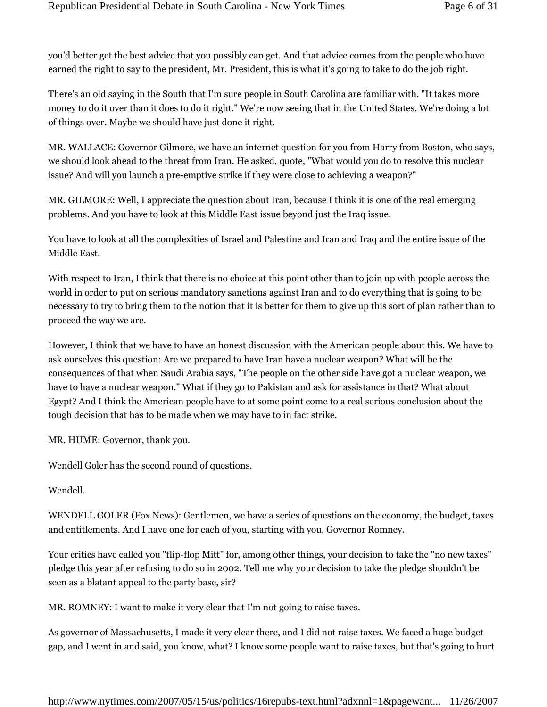you'd better get the best advice that you possibly can get. And that advice comes from the people who have earned the right to say to the president, Mr. President, this is what it's going to take to do the job right.

There's an old saying in the South that I'm sure people in South Carolina are familiar with. "It takes more money to do it over than it does to do it right." We're now seeing that in the United States. We're doing a lot of things over. Maybe we should have just done it right.

MR. WALLACE: Governor Gilmore, we have an internet question for you from Harry from Boston, who says, we should look ahead to the threat from Iran. He asked, quote, "What would you do to resolve this nuclear issue? And will you launch a pre-emptive strike if they were close to achieving a weapon?"

MR. GILMORE: Well, I appreciate the question about Iran, because I think it is one of the real emerging problems. And you have to look at this Middle East issue beyond just the Iraq issue.

You have to look at all the complexities of Israel and Palestine and Iran and Iraq and the entire issue of the Middle East.

With respect to Iran, I think that there is no choice at this point other than to join up with people across the world in order to put on serious mandatory sanctions against Iran and to do everything that is going to be necessary to try to bring them to the notion that it is better for them to give up this sort of plan rather than to proceed the way we are.

However, I think that we have to have an honest discussion with the American people about this. We have to ask ourselves this question: Are we prepared to have Iran have a nuclear weapon? What will be the consequences of that when Saudi Arabia says, "The people on the other side have got a nuclear weapon, we have to have a nuclear weapon." What if they go to Pakistan and ask for assistance in that? What about Egypt? And I think the American people have to at some point come to a real serious conclusion about the tough decision that has to be made when we may have to in fact strike.

MR. HUME: Governor, thank you.

Wendell Goler has the second round of questions.

Wendell.

WENDELL GOLER (Fox News): Gentlemen, we have a series of questions on the economy, the budget, taxes and entitlements. And I have one for each of you, starting with you, Governor Romney.

Your critics have called you "flip-flop Mitt" for, among other things, your decision to take the "no new taxes" pledge this year after refusing to do so in 2002. Tell me why your decision to take the pledge shouldn't be seen as a blatant appeal to the party base, sir?

MR. ROMNEY: I want to make it very clear that I'm not going to raise taxes.

As governor of Massachusetts, I made it very clear there, and I did not raise taxes. We faced a huge budget gap, and I went in and said, you know, what? I know some people want to raise taxes, but that's going to hurt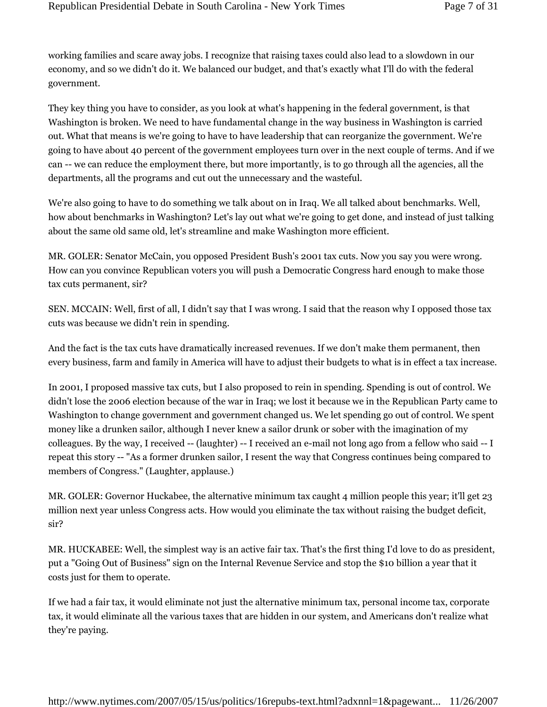working families and scare away jobs. I recognize that raising taxes could also lead to a slowdown in our economy, and so we didn't do it. We balanced our budget, and that's exactly what I'll do with the federal government.

They key thing you have to consider, as you look at what's happening in the federal government, is that Washington is broken. We need to have fundamental change in the way business in Washington is carried out. What that means is we're going to have to have leadership that can reorganize the government. We're going to have about 40 percent of the government employees turn over in the next couple of terms. And if we can -- we can reduce the employment there, but more importantly, is to go through all the agencies, all the departments, all the programs and cut out the unnecessary and the wasteful.

We're also going to have to do something we talk about on in Iraq. We all talked about benchmarks. Well, how about benchmarks in Washington? Let's lay out what we're going to get done, and instead of just talking about the same old same old, let's streamline and make Washington more efficient.

MR. GOLER: Senator McCain, you opposed President Bush's 2001 tax cuts. Now you say you were wrong. How can you convince Republican voters you will push a Democratic Congress hard enough to make those tax cuts permanent, sir?

SEN. MCCAIN: Well, first of all, I didn't say that I was wrong. I said that the reason why I opposed those tax cuts was because we didn't rein in spending.

And the fact is the tax cuts have dramatically increased revenues. If we don't make them permanent, then every business, farm and family in America will have to adjust their budgets to what is in effect a tax increase.

In 2001, I proposed massive tax cuts, but I also proposed to rein in spending. Spending is out of control. We didn't lose the 2006 election because of the war in Iraq; we lost it because we in the Republican Party came to Washington to change government and government changed us. We let spending go out of control. We spent money like a drunken sailor, although I never knew a sailor drunk or sober with the imagination of my colleagues. By the way, I received -- (laughter) -- I received an e-mail not long ago from a fellow who said -- I repeat this story -- "As a former drunken sailor, I resent the way that Congress continues being compared to members of Congress." (Laughter, applause.)

MR. GOLER: Governor Huckabee, the alternative minimum tax caught 4 million people this year; it'll get 23 million next year unless Congress acts. How would you eliminate the tax without raising the budget deficit, sir?

MR. HUCKABEE: Well, the simplest way is an active fair tax. That's the first thing I'd love to do as president, put a "Going Out of Business" sign on the Internal Revenue Service and stop the \$10 billion a year that it costs just for them to operate.

If we had a fair tax, it would eliminate not just the alternative minimum tax, personal income tax, corporate tax, it would eliminate all the various taxes that are hidden in our system, and Americans don't realize what they're paying.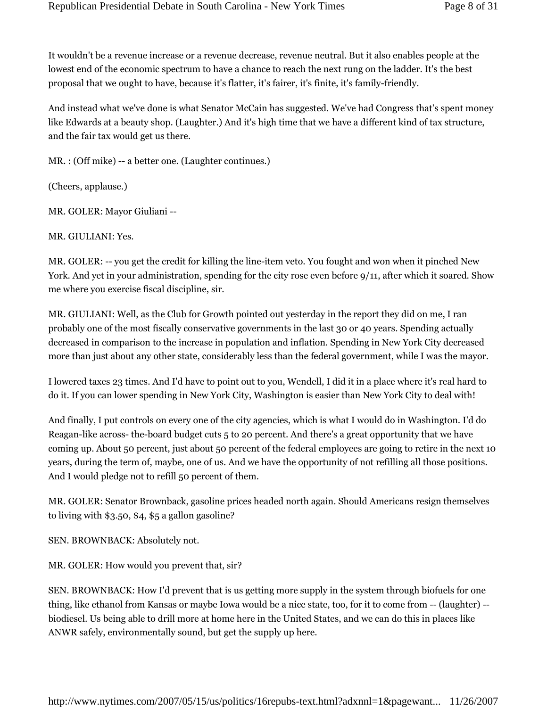It wouldn't be a revenue increase or a revenue decrease, revenue neutral. But it also enables people at the lowest end of the economic spectrum to have a chance to reach the next rung on the ladder. It's the best proposal that we ought to have, because it's flatter, it's fairer, it's finite, it's family-friendly.

And instead what we've done is what Senator McCain has suggested. We've had Congress that's spent money like Edwards at a beauty shop. (Laughter.) And it's high time that we have a different kind of tax structure, and the fair tax would get us there.

MR. : (Off mike) -- a better one. (Laughter continues.)

(Cheers, applause.)

MR. GOLER: Mayor Giuliani --

MR. GIULIANI: Yes.

MR. GOLER: -- you get the credit for killing the line-item veto. You fought and won when it pinched New York. And yet in your administration, spending for the city rose even before 9/11, after which it soared. Show me where you exercise fiscal discipline, sir.

MR. GIULIANI: Well, as the Club for Growth pointed out yesterday in the report they did on me, I ran probably one of the most fiscally conservative governments in the last 30 or 40 years. Spending actually decreased in comparison to the increase in population and inflation. Spending in New York City decreased more than just about any other state, considerably less than the federal government, while I was the mayor.

I lowered taxes 23 times. And I'd have to point out to you, Wendell, I did it in a place where it's real hard to do it. If you can lower spending in New York City, Washington is easier than New York City to deal with!

And finally, I put controls on every one of the city agencies, which is what I would do in Washington. I'd do Reagan-like across- the-board budget cuts 5 to 20 percent. And there's a great opportunity that we have coming up. About 50 percent, just about 50 percent of the federal employees are going to retire in the next 10 years, during the term of, maybe, one of us. And we have the opportunity of not refilling all those positions. And I would pledge not to refill 50 percent of them.

MR. GOLER: Senator Brownback, gasoline prices headed north again. Should Americans resign themselves to living with \$3.50, \$4, \$5 a gallon gasoline?

SEN. BROWNBACK: Absolutely not.

MR. GOLER: How would you prevent that, sir?

SEN. BROWNBACK: How I'd prevent that is us getting more supply in the system through biofuels for one thing, like ethanol from Kansas or maybe Iowa would be a nice state, too, for it to come from -- (laughter) - biodiesel. Us being able to drill more at home here in the United States, and we can do this in places like ANWR safely, environmentally sound, but get the supply up here.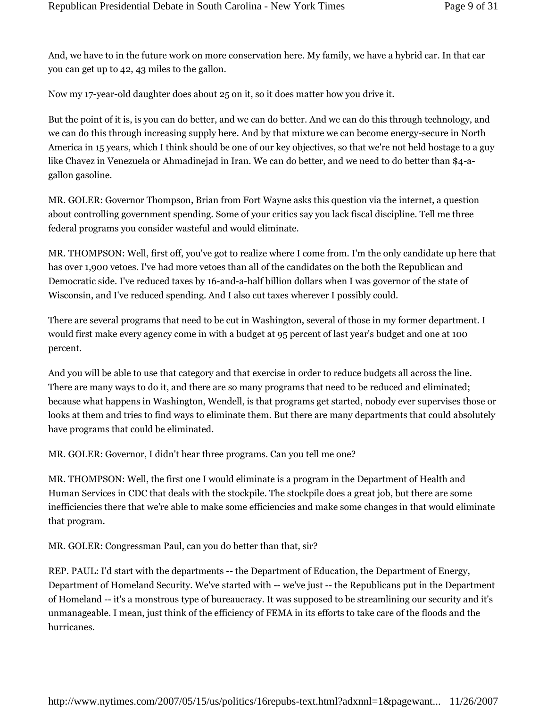And, we have to in the future work on more conservation here. My family, we have a hybrid car. In that car you can get up to 42, 43 miles to the gallon.

Now my 17-year-old daughter does about 25 on it, so it does matter how you drive it.

But the point of it is, is you can do better, and we can do better. And we can do this through technology, and we can do this through increasing supply here. And by that mixture we can become energy-secure in North America in 15 years, which I think should be one of our key objectives, so that we're not held hostage to a guy like Chavez in Venezuela or Ahmadinejad in Iran. We can do better, and we need to do better than \$4-agallon gasoline.

MR. GOLER: Governor Thompson, Brian from Fort Wayne asks this question via the internet, a question about controlling government spending. Some of your critics say you lack fiscal discipline. Tell me three federal programs you consider wasteful and would eliminate.

MR. THOMPSON: Well, first off, you've got to realize where I come from. I'm the only candidate up here that has over 1,900 vetoes. I've had more vetoes than all of the candidates on the both the Republican and Democratic side. I've reduced taxes by 16-and-a-half billion dollars when I was governor of the state of Wisconsin, and I've reduced spending. And I also cut taxes wherever I possibly could.

There are several programs that need to be cut in Washington, several of those in my former department. I would first make every agency come in with a budget at 95 percent of last year's budget and one at 100 percent.

And you will be able to use that category and that exercise in order to reduce budgets all across the line. There are many ways to do it, and there are so many programs that need to be reduced and eliminated; because what happens in Washington, Wendell, is that programs get started, nobody ever supervises those or looks at them and tries to find ways to eliminate them. But there are many departments that could absolutely have programs that could be eliminated.

MR. GOLER: Governor, I didn't hear three programs. Can you tell me one?

MR. THOMPSON: Well, the first one I would eliminate is a program in the Department of Health and Human Services in CDC that deals with the stockpile. The stockpile does a great job, but there are some inefficiencies there that we're able to make some efficiencies and make some changes in that would eliminate that program.

MR. GOLER: Congressman Paul, can you do better than that, sir?

REP. PAUL: I'd start with the departments -- the Department of Education, the Department of Energy, Department of Homeland Security. We've started with -- we've just -- the Republicans put in the Department of Homeland -- it's a monstrous type of bureaucracy. It was supposed to be streamlining our security and it's unmanageable. I mean, just think of the efficiency of FEMA in its efforts to take care of the floods and the hurricanes.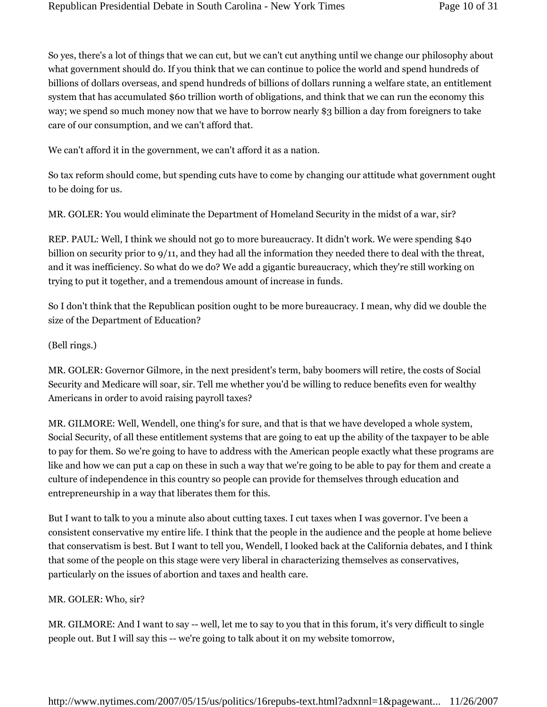So yes, there's a lot of things that we can cut, but we can't cut anything until we change our philosophy about what government should do. If you think that we can continue to police the world and spend hundreds of billions of dollars overseas, and spend hundreds of billions of dollars running a welfare state, an entitlement system that has accumulated \$60 trillion worth of obligations, and think that we can run the economy this way; we spend so much money now that we have to borrow nearly \$3 billion a day from foreigners to take care of our consumption, and we can't afford that.

We can't afford it in the government, we can't afford it as a nation.

So tax reform should come, but spending cuts have to come by changing our attitude what government ought to be doing for us.

MR. GOLER: You would eliminate the Department of Homeland Security in the midst of a war, sir?

REP. PAUL: Well, I think we should not go to more bureaucracy. It didn't work. We were spending \$40 billion on security prior to 9/11, and they had all the information they needed there to deal with the threat, and it was inefficiency. So what do we do? We add a gigantic bureaucracy, which they're still working on trying to put it together, and a tremendous amount of increase in funds.

So I don't think that the Republican position ought to be more bureaucracy. I mean, why did we double the size of the Department of Education?

# (Bell rings.)

MR. GOLER: Governor Gilmore, in the next president's term, baby boomers will retire, the costs of Social Security and Medicare will soar, sir. Tell me whether you'd be willing to reduce benefits even for wealthy Americans in order to avoid raising payroll taxes?

MR. GILMORE: Well, Wendell, one thing's for sure, and that is that we have developed a whole system, Social Security, of all these entitlement systems that are going to eat up the ability of the taxpayer to be able to pay for them. So we're going to have to address with the American people exactly what these programs are like and how we can put a cap on these in such a way that we're going to be able to pay for them and create a culture of independence in this country so people can provide for themselves through education and entrepreneurship in a way that liberates them for this.

But I want to talk to you a minute also about cutting taxes. I cut taxes when I was governor. I've been a consistent conservative my entire life. I think that the people in the audience and the people at home believe that conservatism is best. But I want to tell you, Wendell, I looked back at the California debates, and I think that some of the people on this stage were very liberal in characterizing themselves as conservatives, particularly on the issues of abortion and taxes and health care.

### MR. GOLER: Who, sir?

MR. GILMORE: And I want to say -- well, let me to say to you that in this forum, it's very difficult to single people out. But I will say this -- we're going to talk about it on my website tomorrow,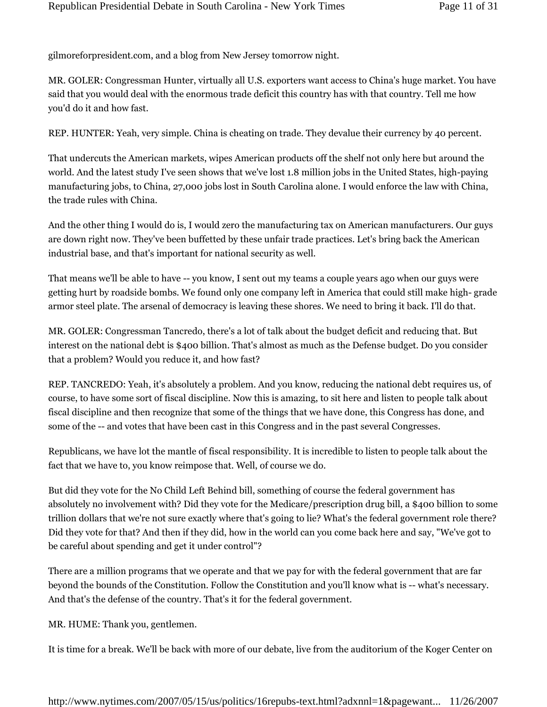gilmoreforpresident.com, and a blog from New Jersey tomorrow night.

MR. GOLER: Congressman Hunter, virtually all U.S. exporters want access to China's huge market. You have said that you would deal with the enormous trade deficit this country has with that country. Tell me how you'd do it and how fast.

REP. HUNTER: Yeah, very simple. China is cheating on trade. They devalue their currency by 40 percent.

That undercuts the American markets, wipes American products off the shelf not only here but around the world. And the latest study I've seen shows that we've lost 1.8 million jobs in the United States, high-paying manufacturing jobs, to China, 27,000 jobs lost in South Carolina alone. I would enforce the law with China, the trade rules with China.

And the other thing I would do is, I would zero the manufacturing tax on American manufacturers. Our guys are down right now. They've been buffetted by these unfair trade practices. Let's bring back the American industrial base, and that's important for national security as well.

That means we'll be able to have -- you know, I sent out my teams a couple years ago when our guys were getting hurt by roadside bombs. We found only one company left in America that could still make high- grade armor steel plate. The arsenal of democracy is leaving these shores. We need to bring it back. I'll do that.

MR. GOLER: Congressman Tancredo, there's a lot of talk about the budget deficit and reducing that. But interest on the national debt is \$400 billion. That's almost as much as the Defense budget. Do you consider that a problem? Would you reduce it, and how fast?

REP. TANCREDO: Yeah, it's absolutely a problem. And you know, reducing the national debt requires us, of course, to have some sort of fiscal discipline. Now this is amazing, to sit here and listen to people talk about fiscal discipline and then recognize that some of the things that we have done, this Congress has done, and some of the -- and votes that have been cast in this Congress and in the past several Congresses.

Republicans, we have lot the mantle of fiscal responsibility. It is incredible to listen to people talk about the fact that we have to, you know reimpose that. Well, of course we do.

But did they vote for the No Child Left Behind bill, something of course the federal government has absolutely no involvement with? Did they vote for the Medicare/prescription drug bill, a \$400 billion to some trillion dollars that we're not sure exactly where that's going to lie? What's the federal government role there? Did they vote for that? And then if they did, how in the world can you come back here and say, "We've got to be careful about spending and get it under control"?

There are a million programs that we operate and that we pay for with the federal government that are far beyond the bounds of the Constitution. Follow the Constitution and you'll know what is -- what's necessary. And that's the defense of the country. That's it for the federal government.

MR. HUME: Thank you, gentlemen.

It is time for a break. We'll be back with more of our debate, live from the auditorium of the Koger Center on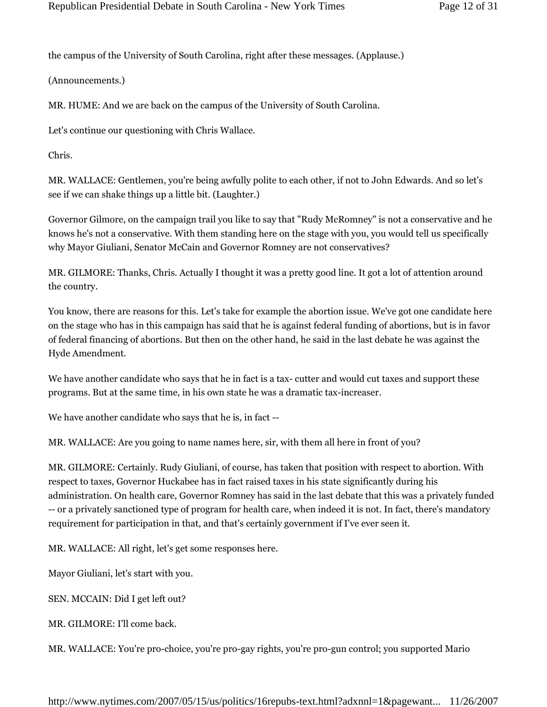the campus of the University of South Carolina, right after these messages. (Applause.)

(Announcements.)

MR. HUME: And we are back on the campus of the University of South Carolina.

Let's continue our questioning with Chris Wallace.

Chris.

MR. WALLACE: Gentlemen, you're being awfully polite to each other, if not to John Edwards. And so let's see if we can shake things up a little bit. (Laughter.)

Governor Gilmore, on the campaign trail you like to say that "Rudy McRomney" is not a conservative and he knows he's not a conservative. With them standing here on the stage with you, you would tell us specifically why Mayor Giuliani, Senator McCain and Governor Romney are not conservatives?

MR. GILMORE: Thanks, Chris. Actually I thought it was a pretty good line. It got a lot of attention around the country.

You know, there are reasons for this. Let's take for example the abortion issue. We've got one candidate here on the stage who has in this campaign has said that he is against federal funding of abortions, but is in favor of federal financing of abortions. But then on the other hand, he said in the last debate he was against the Hyde Amendment.

We have another candidate who says that he in fact is a tax- cutter and would cut taxes and support these programs. But at the same time, in his own state he was a dramatic tax-increaser.

We have another candidate who says that he is, in fact --

MR. WALLACE: Are you going to name names here, sir, with them all here in front of you?

MR. GILMORE: Certainly. Rudy Giuliani, of course, has taken that position with respect to abortion. With respect to taxes, Governor Huckabee has in fact raised taxes in his state significantly during his administration. On health care, Governor Romney has said in the last debate that this was a privately funded -- or a privately sanctioned type of program for health care, when indeed it is not. In fact, there's mandatory requirement for participation in that, and that's certainly government if I've ever seen it.

MR. WALLACE: All right, let's get some responses here.

Mayor Giuliani, let's start with you.

SEN. MCCAIN: Did I get left out?

MR. GILMORE: I'll come back.

MR. WALLACE: You're pro-choice, you're pro-gay rights, you're pro-gun control; you supported Mario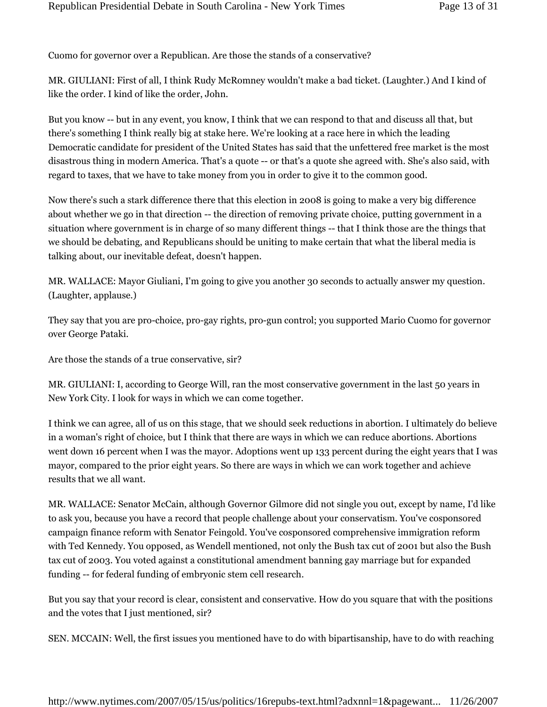Cuomo for governor over a Republican. Are those the stands of a conservative?

MR. GIULIANI: First of all, I think Rudy McRomney wouldn't make a bad ticket. (Laughter.) And I kind of like the order. I kind of like the order, John.

But you know -- but in any event, you know, I think that we can respond to that and discuss all that, but there's something I think really big at stake here. We're looking at a race here in which the leading Democratic candidate for president of the United States has said that the unfettered free market is the most disastrous thing in modern America. That's a quote -- or that's a quote she agreed with. She's also said, with regard to taxes, that we have to take money from you in order to give it to the common good.

Now there's such a stark difference there that this election in 2008 is going to make a very big difference about whether we go in that direction -- the direction of removing private choice, putting government in a situation where government is in charge of so many different things -- that I think those are the things that we should be debating, and Republicans should be uniting to make certain that what the liberal media is talking about, our inevitable defeat, doesn't happen.

MR. WALLACE: Mayor Giuliani, I'm going to give you another 30 seconds to actually answer my question. (Laughter, applause.)

They say that you are pro-choice, pro-gay rights, pro-gun control; you supported Mario Cuomo for governor over George Pataki.

Are those the stands of a true conservative, sir?

MR. GIULIANI: I, according to George Will, ran the most conservative government in the last 50 years in New York City. I look for ways in which we can come together.

I think we can agree, all of us on this stage, that we should seek reductions in abortion. I ultimately do believe in a woman's right of choice, but I think that there are ways in which we can reduce abortions. Abortions went down 16 percent when I was the mayor. Adoptions went up 133 percent during the eight years that I was mayor, compared to the prior eight years. So there are ways in which we can work together and achieve results that we all want.

MR. WALLACE: Senator McCain, although Governor Gilmore did not single you out, except by name, I'd like to ask you, because you have a record that people challenge about your conservatism. You've cosponsored campaign finance reform with Senator Feingold. You've cosponsored comprehensive immigration reform with Ted Kennedy. You opposed, as Wendell mentioned, not only the Bush tax cut of 2001 but also the Bush tax cut of 2003. You voted against a constitutional amendment banning gay marriage but for expanded funding -- for federal funding of embryonic stem cell research.

But you say that your record is clear, consistent and conservative. How do you square that with the positions and the votes that I just mentioned, sir?

SEN. MCCAIN: Well, the first issues you mentioned have to do with bipartisanship, have to do with reaching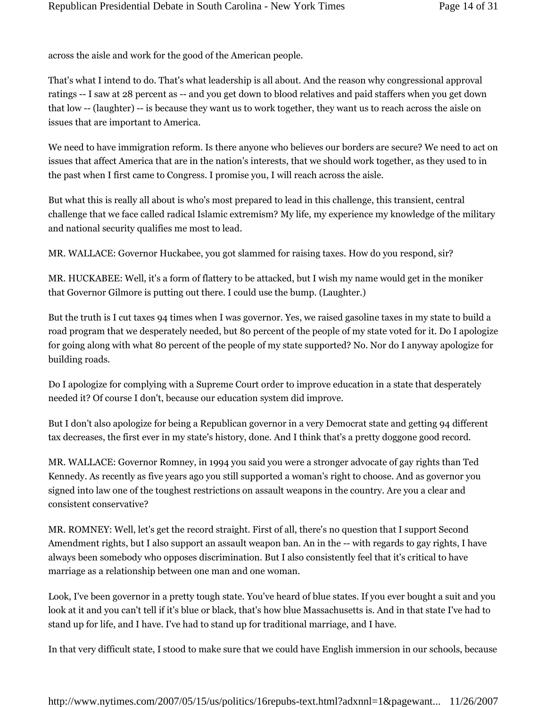across the aisle and work for the good of the American people.

That's what I intend to do. That's what leadership is all about. And the reason why congressional approval ratings -- I saw at 28 percent as -- and you get down to blood relatives and paid staffers when you get down that low -- (laughter) -- is because they want us to work together, they want us to reach across the aisle on issues that are important to America.

We need to have immigration reform. Is there anyone who believes our borders are secure? We need to act on issues that affect America that are in the nation's interests, that we should work together, as they used to in the past when I first came to Congress. I promise you, I will reach across the aisle.

But what this is really all about is who's most prepared to lead in this challenge, this transient, central challenge that we face called radical Islamic extremism? My life, my experience my knowledge of the military and national security qualifies me most to lead.

MR. WALLACE: Governor Huckabee, you got slammed for raising taxes. How do you respond, sir?

MR. HUCKABEE: Well, it's a form of flattery to be attacked, but I wish my name would get in the moniker that Governor Gilmore is putting out there. I could use the bump. (Laughter.)

But the truth is I cut taxes 94 times when I was governor. Yes, we raised gasoline taxes in my state to build a road program that we desperately needed, but 80 percent of the people of my state voted for it. Do I apologize for going along with what 80 percent of the people of my state supported? No. Nor do I anyway apologize for building roads.

Do I apologize for complying with a Supreme Court order to improve education in a state that desperately needed it? Of course I don't, because our education system did improve.

But I don't also apologize for being a Republican governor in a very Democrat state and getting 94 different tax decreases, the first ever in my state's history, done. And I think that's a pretty doggone good record.

MR. WALLACE: Governor Romney, in 1994 you said you were a stronger advocate of gay rights than Ted Kennedy. As recently as five years ago you still supported a woman's right to choose. And as governor you signed into law one of the toughest restrictions on assault weapons in the country. Are you a clear and consistent conservative?

MR. ROMNEY: Well, let's get the record straight. First of all, there's no question that I support Second Amendment rights, but I also support an assault weapon ban. An in the -- with regards to gay rights, I have always been somebody who opposes discrimination. But I also consistently feel that it's critical to have marriage as a relationship between one man and one woman.

Look, I've been governor in a pretty tough state. You've heard of blue states. If you ever bought a suit and you look at it and you can't tell if it's blue or black, that's how blue Massachusetts is. And in that state I've had to stand up for life, and I have. I've had to stand up for traditional marriage, and I have.

In that very difficult state, I stood to make sure that we could have English immersion in our schools, because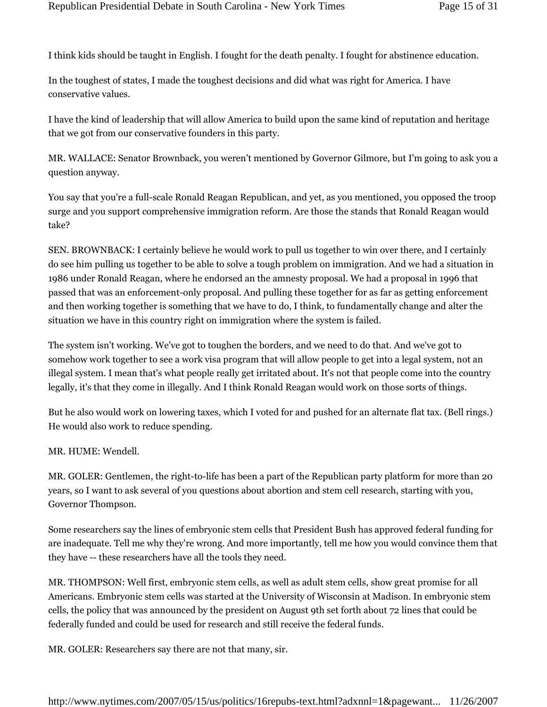I think kids should be taught in English. I fought for the death penalty. I fought for abstinence education.

In the toughest of states, I made the toughest decisions and did what was right for America. I have conservative values.

I have the kind of leadership that will allow America to build upon the same kind of reputation and heritage that we got from our conservative founders in this party.

MR. WALLACE: Senator Brownback, you weren't mentioned by Governor Gilmore, but I'm going to ask you a question anyway.

You say that you're a full-scale Ronald Reagan Republican, and yet, as you mentioned, you opposed the troop surge and you support comprehensive immigration reform. Are those the stands that Ronald Reagan would take?

SEN. BROWNBACK: I certainly believe he would work to pull us together to win over there, and I certainly do see him pulling us together to be able to solve a tough problem on immigration. And we had a situation in 1986 under Ronald Reagan, where he endorsed an the amnesty proposal. We had a proposal in 1996 that passed that was an enforcement-only proposal. And pulling these together for as far as getting enforcement and then working together is something that we have to do, I think, to fundamentally change and alter the situation we have in this country right on immigration where the system is failed.

The system isn't working. We've got to toughen the borders, and we need to do that. And we've got to somehow work together to see a work visa program that will allow people to get into a legal system, not an illegal system. I mean that's what people really get irritated about. It's not that people come into the country legally, it's that they come in illegally. And I think Ronald Reagan would work on those sorts of things.

But he also would work on lowering taxes, which I voted for and pushed for an alternate flat tax. (Bell rings.) He would also work to reduce spending.

MR. HUME: Wendell.

MR. GOLER: Gentlemen, the right-to-life has been a part of the Republican party platform for more than 20 years, so I want to ask several of you questions about abortion and stem cell research, starting with you, Governor Thompson.

Some researchers say the lines of embryonic stem cells that President Bush has approved federal funding for are inadequate. Tell me why they're wrong. And more importantly, tell me how you would convince them that they have -- these researchers have all the tools they need.

MR. THOMPSON: Well first, embryonic stem cells, as well as adult stem cells, show great promise for all Americans. Embryonic stem cells was started at the University of Wisconsin at Madison. In embryonic stem cells, the policy that was announced by the president on August 9th set forth about 72 lines that could be federally funded and could be used for research and still receive the federal funds.

MR. GOLER: Researchers say there are not that many, sir.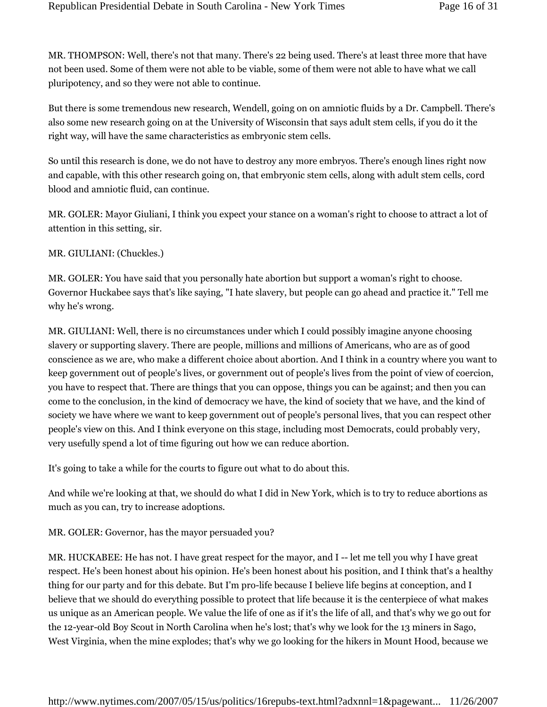MR. THOMPSON: Well, there's not that many. There's 22 being used. There's at least three more that have not been used. Some of them were not able to be viable, some of them were not able to have what we call pluripotency, and so they were not able to continue.

But there is some tremendous new research, Wendell, going on on amniotic fluids by a Dr. Campbell. There's also some new research going on at the University of Wisconsin that says adult stem cells, if you do it the right way, will have the same characteristics as embryonic stem cells.

So until this research is done, we do not have to destroy any more embryos. There's enough lines right now and capable, with this other research going on, that embryonic stem cells, along with adult stem cells, cord blood and amniotic fluid, can continue.

MR. GOLER: Mayor Giuliani, I think you expect your stance on a woman's right to choose to attract a lot of attention in this setting, sir.

# MR. GIULIANI: (Chuckles.)

MR. GOLER: You have said that you personally hate abortion but support a woman's right to choose. Governor Huckabee says that's like saying, "I hate slavery, but people can go ahead and practice it." Tell me why he's wrong.

MR. GIULIANI: Well, there is no circumstances under which I could possibly imagine anyone choosing slavery or supporting slavery. There are people, millions and millions of Americans, who are as of good conscience as we are, who make a different choice about abortion. And I think in a country where you want to keep government out of people's lives, or government out of people's lives from the point of view of coercion, you have to respect that. There are things that you can oppose, things you can be against; and then you can come to the conclusion, in the kind of democracy we have, the kind of society that we have, and the kind of society we have where we want to keep government out of people's personal lives, that you can respect other people's view on this. And I think everyone on this stage, including most Democrats, could probably very, very usefully spend a lot of time figuring out how we can reduce abortion.

It's going to take a while for the courts to figure out what to do about this.

And while we're looking at that, we should do what I did in New York, which is to try to reduce abortions as much as you can, try to increase adoptions.

# MR. GOLER: Governor, has the mayor persuaded you?

MR. HUCKABEE: He has not. I have great respect for the mayor, and I -- let me tell you why I have great respect. He's been honest about his opinion. He's been honest about his position, and I think that's a healthy thing for our party and for this debate. But I'm pro-life because I believe life begins at conception, and I believe that we should do everything possible to protect that life because it is the centerpiece of what makes us unique as an American people. We value the life of one as if it's the life of all, and that's why we go out for the 12-year-old Boy Scout in North Carolina when he's lost; that's why we look for the 13 miners in Sago, West Virginia, when the mine explodes; that's why we go looking for the hikers in Mount Hood, because we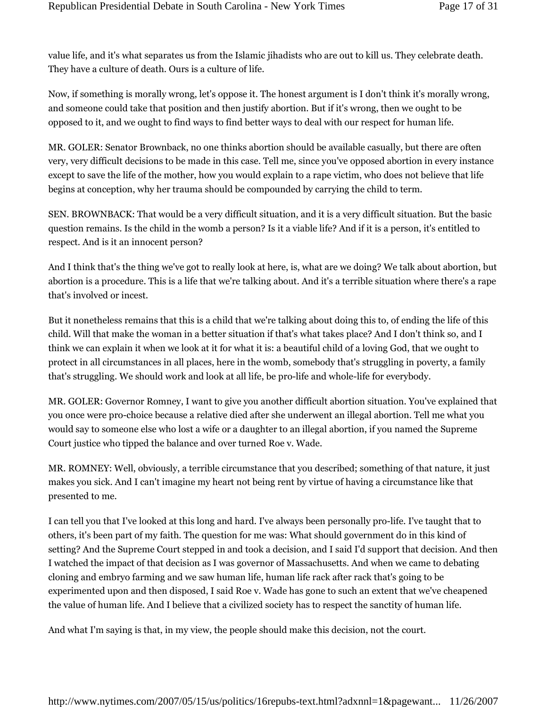value life, and it's what separates us from the Islamic jihadists who are out to kill us. They celebrate death. They have a culture of death. Ours is a culture of life.

Now, if something is morally wrong, let's oppose it. The honest argument is I don't think it's morally wrong, and someone could take that position and then justify abortion. But if it's wrong, then we ought to be opposed to it, and we ought to find ways to find better ways to deal with our respect for human life.

MR. GOLER: Senator Brownback, no one thinks abortion should be available casually, but there are often very, very difficult decisions to be made in this case. Tell me, since you've opposed abortion in every instance except to save the life of the mother, how you would explain to a rape victim, who does not believe that life begins at conception, why her trauma should be compounded by carrying the child to term.

SEN. BROWNBACK: That would be a very difficult situation, and it is a very difficult situation. But the basic question remains. Is the child in the womb a person? Is it a viable life? And if it is a person, it's entitled to respect. And is it an innocent person?

And I think that's the thing we've got to really look at here, is, what are we doing? We talk about abortion, but abortion is a procedure. This is a life that we're talking about. And it's a terrible situation where there's a rape that's involved or incest.

But it nonetheless remains that this is a child that we're talking about doing this to, of ending the life of this child. Will that make the woman in a better situation if that's what takes place? And I don't think so, and I think we can explain it when we look at it for what it is: a beautiful child of a loving God, that we ought to protect in all circumstances in all places, here in the womb, somebody that's struggling in poverty, a family that's struggling. We should work and look at all life, be pro-life and whole-life for everybody.

MR. GOLER: Governor Romney, I want to give you another difficult abortion situation. You've explained that you once were pro-choice because a relative died after she underwent an illegal abortion. Tell me what you would say to someone else who lost a wife or a daughter to an illegal abortion, if you named the Supreme Court justice who tipped the balance and over turned Roe v. Wade.

MR. ROMNEY: Well, obviously, a terrible circumstance that you described; something of that nature, it just makes you sick. And I can't imagine my heart not being rent by virtue of having a circumstance like that presented to me.

I can tell you that I've looked at this long and hard. I've always been personally pro-life. I've taught that to others, it's been part of my faith. The question for me was: What should government do in this kind of setting? And the Supreme Court stepped in and took a decision, and I said I'd support that decision. And then I watched the impact of that decision as I was governor of Massachusetts. And when we came to debating cloning and embryo farming and we saw human life, human life rack after rack that's going to be experimented upon and then disposed, I said Roe v. Wade has gone to such an extent that we've cheapened the value of human life. And I believe that a civilized society has to respect the sanctity of human life.

And what I'm saying is that, in my view, the people should make this decision, not the court.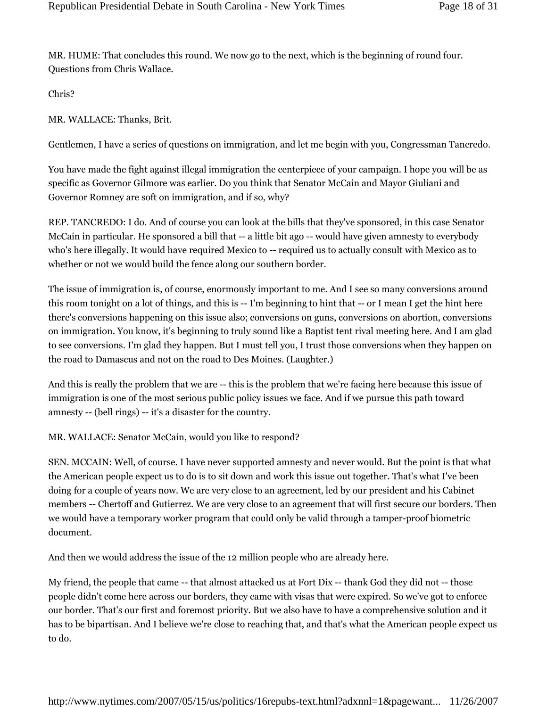MR. HUME: That concludes this round. We now go to the next, which is the beginning of round four. Questions from Chris Wallace.

Chris?

MR. WALLACE: Thanks, Brit.

Gentlemen, I have a series of questions on immigration, and let me begin with you, Congressman Tancredo.

You have made the fight against illegal immigration the centerpiece of your campaign. I hope you will be as specific as Governor Gilmore was earlier. Do you think that Senator McCain and Mayor Giuliani and Governor Romney are soft on immigration, and if so, why?

REP. TANCREDO: I do. And of course you can look at the bills that they've sponsored, in this case Senator McCain in particular. He sponsored a bill that -- a little bit ago -- would have given amnesty to everybody who's here illegally. It would have required Mexico to -- required us to actually consult with Mexico as to whether or not we would build the fence along our southern border.

The issue of immigration is, of course, enormously important to me. And I see so many conversions around this room tonight on a lot of things, and this is -- I'm beginning to hint that -- or I mean I get the hint here there's conversions happening on this issue also; conversions on guns, conversions on abortion, conversions on immigration. You know, it's beginning to truly sound like a Baptist tent rival meeting here. And I am glad to see conversions. I'm glad they happen. But I must tell you, I trust those conversions when they happen on the road to Damascus and not on the road to Des Moines. (Laughter.)

And this is really the problem that we are -- this is the problem that we're facing here because this issue of immigration is one of the most serious public policy issues we face. And if we pursue this path toward amnesty -- (bell rings) -- it's a disaster for the country.

MR. WALLACE: Senator McCain, would you like to respond?

SEN. MCCAIN: Well, of course. I have never supported amnesty and never would. But the point is that what the American people expect us to do is to sit down and work this issue out together. That's what I've been doing for a couple of years now. We are very close to an agreement, led by our president and his Cabinet members -- Chertoff and Gutierrez. We are very close to an agreement that will first secure our borders. Then we would have a temporary worker program that could only be valid through a tamper-proof biometric document.

And then we would address the issue of the 12 million people who are already here.

My friend, the people that came -- that almost attacked us at Fort Dix -- thank God they did not -- those people didn't come here across our borders, they came with visas that were expired. So we've got to enforce our border. That's our first and foremost priority. But we also have to have a comprehensive solution and it has to be bipartisan. And I believe we're close to reaching that, and that's what the American people expect us to do.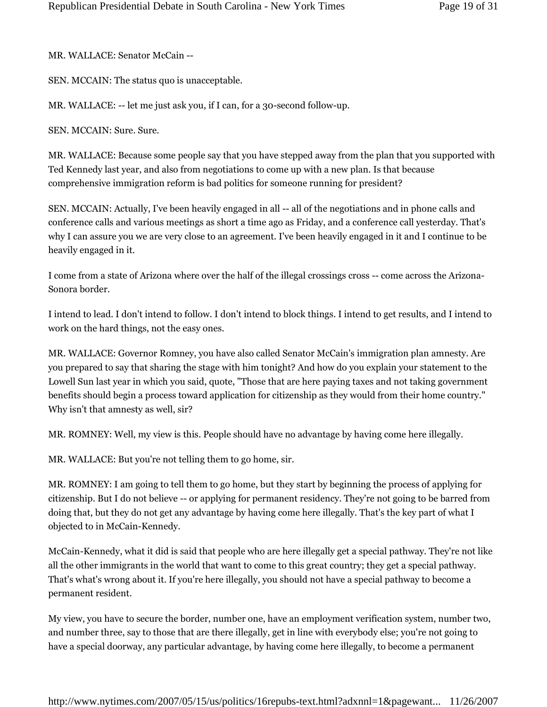MR. WALLACE: Senator McCain --

SEN. MCCAIN: The status quo is unacceptable.

MR. WALLACE: -- let me just ask you, if I can, for a 30-second follow-up.

SEN. MCCAIN: Sure. Sure.

MR. WALLACE: Because some people say that you have stepped away from the plan that you supported with Ted Kennedy last year, and also from negotiations to come up with a new plan. Is that because comprehensive immigration reform is bad politics for someone running for president?

SEN. MCCAIN: Actually, I've been heavily engaged in all -- all of the negotiations and in phone calls and conference calls and various meetings as short a time ago as Friday, and a conference call yesterday. That's why I can assure you we are very close to an agreement. I've been heavily engaged in it and I continue to be heavily engaged in it.

I come from a state of Arizona where over the half of the illegal crossings cross -- come across the Arizona-Sonora border.

I intend to lead. I don't intend to follow. I don't intend to block things. I intend to get results, and I intend to work on the hard things, not the easy ones.

MR. WALLACE: Governor Romney, you have also called Senator McCain's immigration plan amnesty. Are you prepared to say that sharing the stage with him tonight? And how do you explain your statement to the Lowell Sun last year in which you said, quote, "Those that are here paying taxes and not taking government benefits should begin a process toward application for citizenship as they would from their home country." Why isn't that amnesty as well, sir?

MR. ROMNEY: Well, my view is this. People should have no advantage by having come here illegally.

MR. WALLACE: But you're not telling them to go home, sir.

MR. ROMNEY: I am going to tell them to go home, but they start by beginning the process of applying for citizenship. But I do not believe -- or applying for permanent residency. They're not going to be barred from doing that, but they do not get any advantage by having come here illegally. That's the key part of what I objected to in McCain-Kennedy.

McCain-Kennedy, what it did is said that people who are here illegally get a special pathway. They're not like all the other immigrants in the world that want to come to this great country; they get a special pathway. That's what's wrong about it. If you're here illegally, you should not have a special pathway to become a permanent resident.

My view, you have to secure the border, number one, have an employment verification system, number two, and number three, say to those that are there illegally, get in line with everybody else; you're not going to have a special doorway, any particular advantage, by having come here illegally, to become a permanent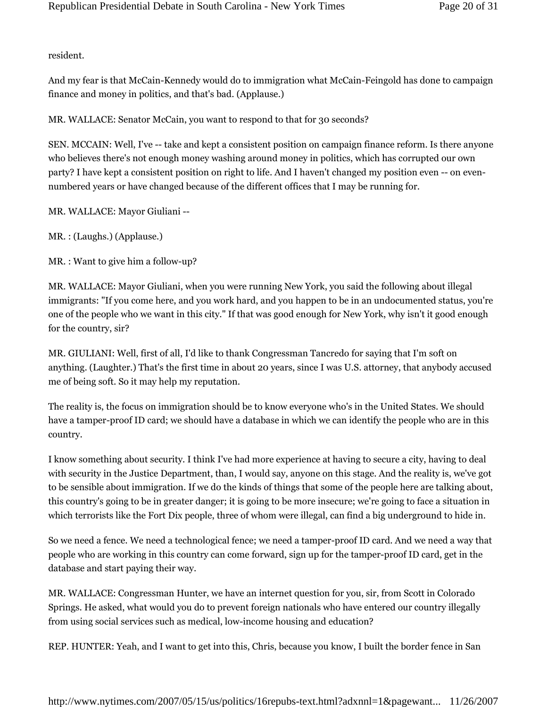resident.

And my fear is that McCain-Kennedy would do to immigration what McCain-Feingold has done to campaign finance and money in politics, and that's bad. (Applause.)

MR. WALLACE: Senator McCain, you want to respond to that for 30 seconds?

SEN. MCCAIN: Well, I've -- take and kept a consistent position on campaign finance reform. Is there anyone who believes there's not enough money washing around money in politics, which has corrupted our own party? I have kept a consistent position on right to life. And I haven't changed my position even -- on evennumbered years or have changed because of the different offices that I may be running for.

MR. WALLACE: Mayor Giuliani --

MR. : (Laughs.) (Applause.)

MR. : Want to give him a follow-up?

MR. WALLACE: Mayor Giuliani, when you were running New York, you said the following about illegal immigrants: "If you come here, and you work hard, and you happen to be in an undocumented status, you're one of the people who we want in this city." If that was good enough for New York, why isn't it good enough for the country, sir?

MR. GIULIANI: Well, first of all, I'd like to thank Congressman Tancredo for saying that I'm soft on anything. (Laughter.) That's the first time in about 20 years, since I was U.S. attorney, that anybody accused me of being soft. So it may help my reputation.

The reality is, the focus on immigration should be to know everyone who's in the United States. We should have a tamper-proof ID card; we should have a database in which we can identify the people who are in this country.

I know something about security. I think I've had more experience at having to secure a city, having to deal with security in the Justice Department, than, I would say, anyone on this stage. And the reality is, we've got to be sensible about immigration. If we do the kinds of things that some of the people here are talking about, this country's going to be in greater danger; it is going to be more insecure; we're going to face a situation in which terrorists like the Fort Dix people, three of whom were illegal, can find a big underground to hide in.

So we need a fence. We need a technological fence; we need a tamper-proof ID card. And we need a way that people who are working in this country can come forward, sign up for the tamper-proof ID card, get in the database and start paying their way.

MR. WALLACE: Congressman Hunter, we have an internet question for you, sir, from Scott in Colorado Springs. He asked, what would you do to prevent foreign nationals who have entered our country illegally from using social services such as medical, low-income housing and education?

REP. HUNTER: Yeah, and I want to get into this, Chris, because you know, I built the border fence in San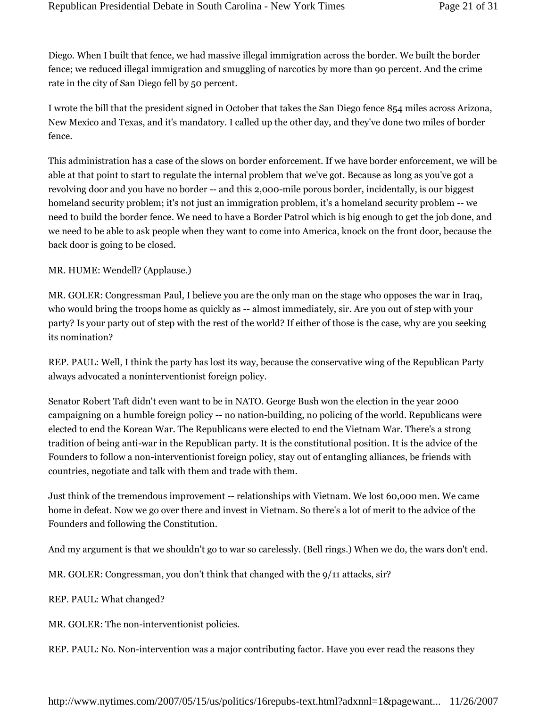Diego. When I built that fence, we had massive illegal immigration across the border. We built the border fence; we reduced illegal immigration and smuggling of narcotics by more than 90 percent. And the crime rate in the city of San Diego fell by 50 percent.

I wrote the bill that the president signed in October that takes the San Diego fence 854 miles across Arizona, New Mexico and Texas, and it's mandatory. I called up the other day, and they've done two miles of border fence.

This administration has a case of the slows on border enforcement. If we have border enforcement, we will be able at that point to start to regulate the internal problem that we've got. Because as long as you've got a revolving door and you have no border -- and this 2,000-mile porous border, incidentally, is our biggest homeland security problem; it's not just an immigration problem, it's a homeland security problem -- we need to build the border fence. We need to have a Border Patrol which is big enough to get the job done, and we need to be able to ask people when they want to come into America, knock on the front door, because the back door is going to be closed.

MR. HUME: Wendell? (Applause.)

MR. GOLER: Congressman Paul, I believe you are the only man on the stage who opposes the war in Iraq, who would bring the troops home as quickly as -- almost immediately, sir. Are you out of step with your party? Is your party out of step with the rest of the world? If either of those is the case, why are you seeking its nomination?

REP. PAUL: Well, I think the party has lost its way, because the conservative wing of the Republican Party always advocated a noninterventionist foreign policy.

Senator Robert Taft didn't even want to be in NATO. George Bush won the election in the year 2000 campaigning on a humble foreign policy -- no nation-building, no policing of the world. Republicans were elected to end the Korean War. The Republicans were elected to end the Vietnam War. There's a strong tradition of being anti-war in the Republican party. It is the constitutional position. It is the advice of the Founders to follow a non-interventionist foreign policy, stay out of entangling alliances, be friends with countries, negotiate and talk with them and trade with them.

Just think of the tremendous improvement -- relationships with Vietnam. We lost 60,000 men. We came home in defeat. Now we go over there and invest in Vietnam. So there's a lot of merit to the advice of the Founders and following the Constitution.

And my argument is that we shouldn't go to war so carelessly. (Bell rings.) When we do, the wars don't end.

MR. GOLER: Congressman, you don't think that changed with the 9/11 attacks, sir?

REP. PAUL: What changed?

MR. GOLER: The non-interventionist policies.

REP. PAUL: No. Non-intervention was a major contributing factor. Have you ever read the reasons they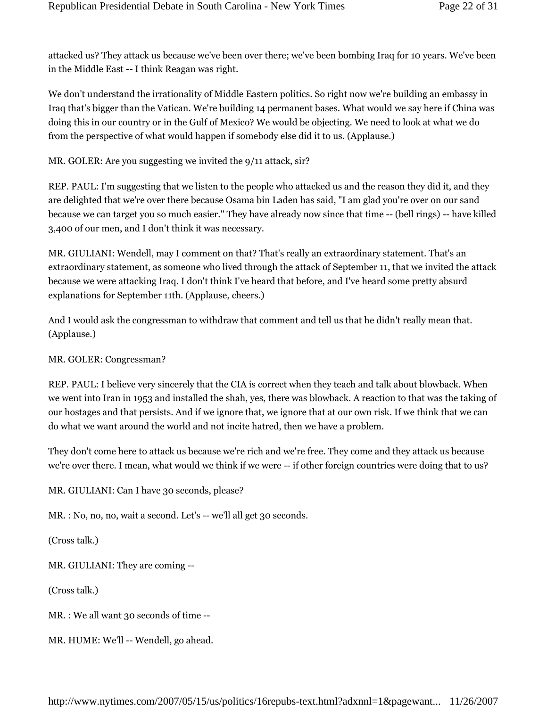attacked us? They attack us because we've been over there; we've been bombing Iraq for 10 years. We've been in the Middle East -- I think Reagan was right.

We don't understand the irrationality of Middle Eastern politics. So right now we're building an embassy in Iraq that's bigger than the Vatican. We're building 14 permanent bases. What would we say here if China was doing this in our country or in the Gulf of Mexico? We would be objecting. We need to look at what we do from the perspective of what would happen if somebody else did it to us. (Applause.)

MR. GOLER: Are you suggesting we invited the 9/11 attack, sir?

REP. PAUL: I'm suggesting that we listen to the people who attacked us and the reason they did it, and they are delighted that we're over there because Osama bin Laden has said, "I am glad you're over on our sand because we can target you so much easier." They have already now since that time -- (bell rings) -- have killed 3,400 of our men, and I don't think it was necessary.

MR. GIULIANI: Wendell, may I comment on that? That's really an extraordinary statement. That's an extraordinary statement, as someone who lived through the attack of September 11, that we invited the attack because we were attacking Iraq. I don't think I've heard that before, and I've heard some pretty absurd explanations for September 11th. (Applause, cheers.)

And I would ask the congressman to withdraw that comment and tell us that he didn't really mean that. (Applause.)

### MR. GOLER: Congressman?

REP. PAUL: I believe very sincerely that the CIA is correct when they teach and talk about blowback. When we went into Iran in 1953 and installed the shah, yes, there was blowback. A reaction to that was the taking of our hostages and that persists. And if we ignore that, we ignore that at our own risk. If we think that we can do what we want around the world and not incite hatred, then we have a problem.

They don't come here to attack us because we're rich and we're free. They come and they attack us because we're over there. I mean, what would we think if we were -- if other foreign countries were doing that to us?

MR. GIULIANI: Can I have 30 seconds, please?

MR. : No, no, no, wait a second. Let's -- we'll all get 30 seconds.

(Cross talk.)

MR. GIULIANI: They are coming --

(Cross talk.)

MR. : We all want 30 seconds of time --

MR. HUME: We'll -- Wendell, go ahead.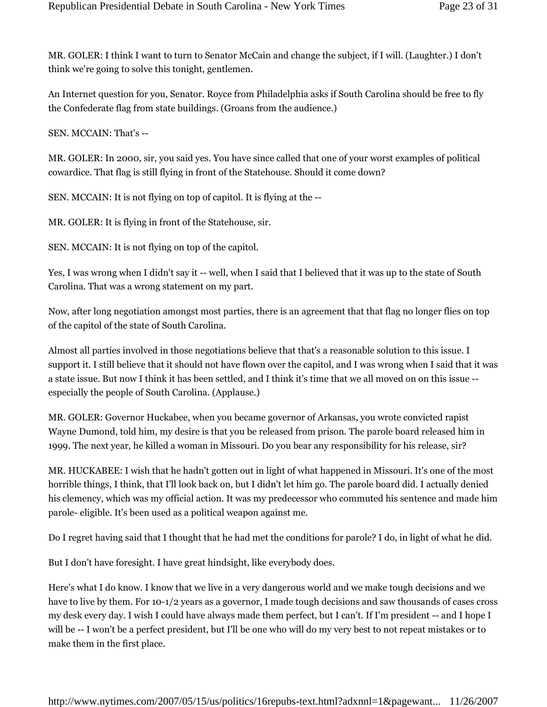MR. GOLER: I think I want to turn to Senator McCain and change the subject, if I will. (Laughter.) I don't think we're going to solve this tonight, gentlemen.

An Internet question for you, Senator. Royce from Philadelphia asks if South Carolina should be free to fly the Confederate flag from state buildings. (Groans from the audience.)

SEN. MCCAIN: That's --

MR. GOLER: In 2000, sir, you said yes. You have since called that one of your worst examples of political cowardice. That flag is still flying in front of the Statehouse. Should it come down?

SEN. MCCAIN: It is not flying on top of capitol. It is flying at the --

MR. GOLER: It is flying in front of the Statehouse, sir.

SEN. MCCAIN: It is not flying on top of the capitol.

Yes, I was wrong when I didn't say it -- well, when I said that I believed that it was up to the state of South Carolina. That was a wrong statement on my part.

Now, after long negotiation amongst most parties, there is an agreement that that flag no longer flies on top of the capitol of the state of South Carolina.

Almost all parties involved in those negotiations believe that that's a reasonable solution to this issue. I support it. I still believe that it should not have flown over the capitol, and I was wrong when I said that it was a state issue. But now I think it has been settled, and I think it's time that we all moved on on this issue - especially the people of South Carolina. (Applause.)

MR. GOLER: Governor Huckabee, when you became governor of Arkansas, you wrote convicted rapist Wayne Dumond, told him, my desire is that you be released from prison. The parole board released him in 1999. The next year, he killed a woman in Missouri. Do you bear any responsibility for his release, sir?

MR. HUCKABEE: I wish that he hadn't gotten out in light of what happened in Missouri. It's one of the most horrible things, I think, that I'll look back on, but I didn't let him go. The parole board did. I actually denied his clemency, which was my official action. It was my predecessor who commuted his sentence and made him parole- eligible. It's been used as a political weapon against me.

Do I regret having said that I thought that he had met the conditions for parole? I do, in light of what he did.

But I don't have foresight. I have great hindsight, like everybody does.

Here's what I do know. I know that we live in a very dangerous world and we make tough decisions and we have to live by them. For 10-1/2 years as a governor, I made tough decisions and saw thousands of cases cross my desk every day. I wish I could have always made them perfect, but I can't. If I'm president -- and I hope I will be  $-$  I won't be a perfect president, but I'll be one who will do my very best to not repeat mistakes or to make them in the first place.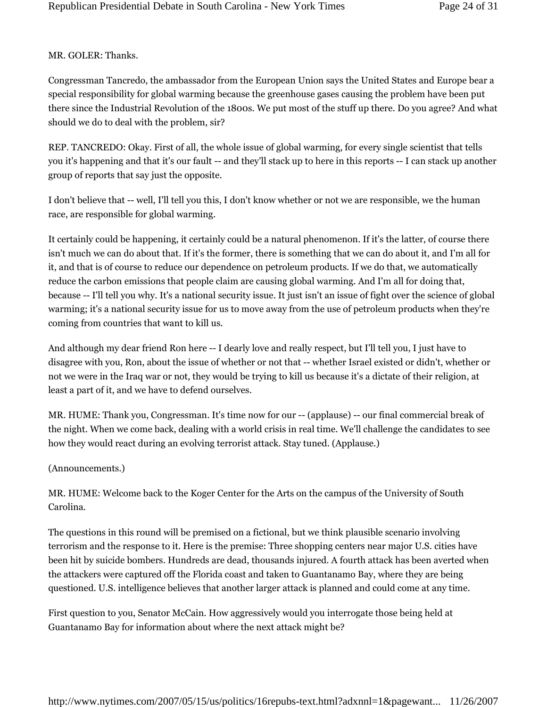### MR. GOLER: Thanks.

Congressman Tancredo, the ambassador from the European Union says the United States and Europe bear a special responsibility for global warming because the greenhouse gases causing the problem have been put there since the Industrial Revolution of the 1800s. We put most of the stuff up there. Do you agree? And what should we do to deal with the problem, sir?

REP. TANCREDO: Okay. First of all, the whole issue of global warming, for every single scientist that tells you it's happening and that it's our fault -- and they'll stack up to here in this reports -- I can stack up another group of reports that say just the opposite.

I don't believe that -- well, I'll tell you this, I don't know whether or not we are responsible, we the human race, are responsible for global warming.

It certainly could be happening, it certainly could be a natural phenomenon. If it's the latter, of course there isn't much we can do about that. If it's the former, there is something that we can do about it, and I'm all for it, and that is of course to reduce our dependence on petroleum products. If we do that, we automatically reduce the carbon emissions that people claim are causing global warming. And I'm all for doing that, because -- I'll tell you why. It's a national security issue. It just isn't an issue of fight over the science of global warming; it's a national security issue for us to move away from the use of petroleum products when they're coming from countries that want to kill us.

And although my dear friend Ron here -- I dearly love and really respect, but I'll tell you, I just have to disagree with you, Ron, about the issue of whether or not that -- whether Israel existed or didn't, whether or not we were in the Iraq war or not, they would be trying to kill us because it's a dictate of their religion, at least a part of it, and we have to defend ourselves.

MR. HUME: Thank you, Congressman. It's time now for our -- (applause) -- our final commercial break of the night. When we come back, dealing with a world crisis in real time. We'll challenge the candidates to see how they would react during an evolving terrorist attack. Stay tuned. (Applause.)

### (Announcements.)

MR. HUME: Welcome back to the Koger Center for the Arts on the campus of the University of South Carolina.

The questions in this round will be premised on a fictional, but we think plausible scenario involving terrorism and the response to it. Here is the premise: Three shopping centers near major U.S. cities have been hit by suicide bombers. Hundreds are dead, thousands injured. A fourth attack has been averted when the attackers were captured off the Florida coast and taken to Guantanamo Bay, where they are being questioned. U.S. intelligence believes that another larger attack is planned and could come at any time.

First question to you, Senator McCain. How aggressively would you interrogate those being held at Guantanamo Bay for information about where the next attack might be?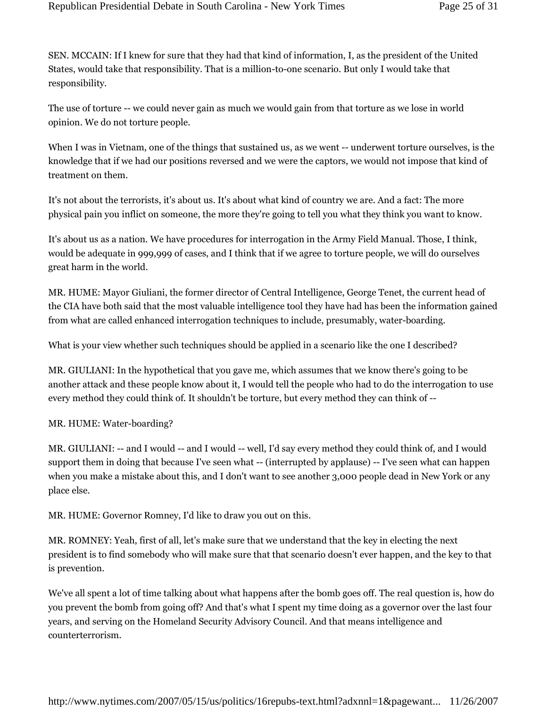SEN. MCCAIN: If I knew for sure that they had that kind of information, I, as the president of the United States, would take that responsibility. That is a million-to-one scenario. But only I would take that responsibility.

The use of torture -- we could never gain as much we would gain from that torture as we lose in world opinion. We do not torture people.

When I was in Vietnam, one of the things that sustained us, as we went -- underwent torture ourselves, is the knowledge that if we had our positions reversed and we were the captors, we would not impose that kind of treatment on them.

It's not about the terrorists, it's about us. It's about what kind of country we are. And a fact: The more physical pain you inflict on someone, the more they're going to tell you what they think you want to know.

It's about us as a nation. We have procedures for interrogation in the Army Field Manual. Those, I think, would be adequate in 999,999 of cases, and I think that if we agree to torture people, we will do ourselves great harm in the world.

MR. HUME: Mayor Giuliani, the former director of Central Intelligence, George Tenet, the current head of the CIA have both said that the most valuable intelligence tool they have had has been the information gained from what are called enhanced interrogation techniques to include, presumably, water-boarding.

What is your view whether such techniques should be applied in a scenario like the one I described?

MR. GIULIANI: In the hypothetical that you gave me, which assumes that we know there's going to be another attack and these people know about it, I would tell the people who had to do the interrogation to use every method they could think of. It shouldn't be torture, but every method they can think of --

MR. HUME: Water-boarding?

MR. GIULIANI: -- and I would -- and I would -- well, I'd say every method they could think of, and I would support them in doing that because I've seen what -- (interrupted by applause) -- I've seen what can happen when you make a mistake about this, and I don't want to see another 3,000 people dead in New York or any place else.

MR. HUME: Governor Romney, I'd like to draw you out on this.

MR. ROMNEY: Yeah, first of all, let's make sure that we understand that the key in electing the next president is to find somebody who will make sure that that scenario doesn't ever happen, and the key to that is prevention.

We've all spent a lot of time talking about what happens after the bomb goes off. The real question is, how do you prevent the bomb from going off? And that's what I spent my time doing as a governor over the last four years, and serving on the Homeland Security Advisory Council. And that means intelligence and counterterrorism.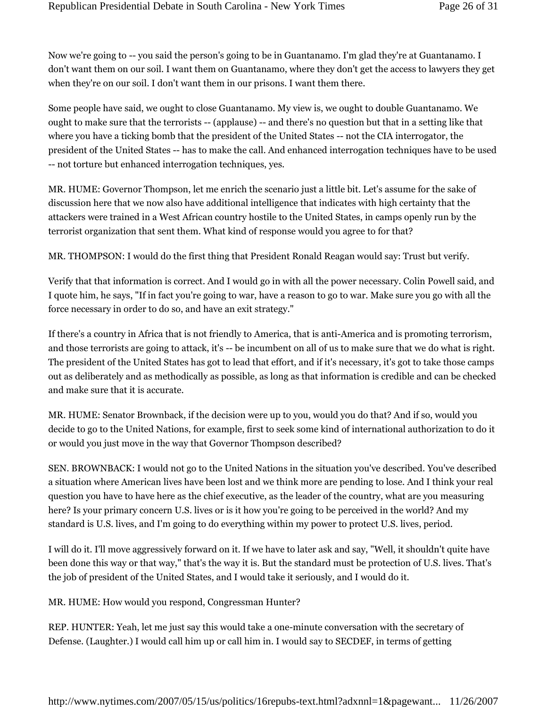Now we're going to -- you said the person's going to be in Guantanamo. I'm glad they're at Guantanamo. I don't want them on our soil. I want them on Guantanamo, where they don't get the access to lawyers they get when they're on our soil. I don't want them in our prisons. I want them there.

Some people have said, we ought to close Guantanamo. My view is, we ought to double Guantanamo. We ought to make sure that the terrorists -- (applause) -- and there's no question but that in a setting like that where you have a ticking bomb that the president of the United States -- not the CIA interrogator, the president of the United States -- has to make the call. And enhanced interrogation techniques have to be used -- not torture but enhanced interrogation techniques, yes.

MR. HUME: Governor Thompson, let me enrich the scenario just a little bit. Let's assume for the sake of discussion here that we now also have additional intelligence that indicates with high certainty that the attackers were trained in a West African country hostile to the United States, in camps openly run by the terrorist organization that sent them. What kind of response would you agree to for that?

MR. THOMPSON: I would do the first thing that President Ronald Reagan would say: Trust but verify.

Verify that that information is correct. And I would go in with all the power necessary. Colin Powell said, and I quote him, he says, "If in fact you're going to war, have a reason to go to war. Make sure you go with all the force necessary in order to do so, and have an exit strategy."

If there's a country in Africa that is not friendly to America, that is anti-America and is promoting terrorism, and those terrorists are going to attack, it's -- be incumbent on all of us to make sure that we do what is right. The president of the United States has got to lead that effort, and if it's necessary, it's got to take those camps out as deliberately and as methodically as possible, as long as that information is credible and can be checked and make sure that it is accurate.

MR. HUME: Senator Brownback, if the decision were up to you, would you do that? And if so, would you decide to go to the United Nations, for example, first to seek some kind of international authorization to do it or would you just move in the way that Governor Thompson described?

SEN. BROWNBACK: I would not go to the United Nations in the situation you've described. You've described a situation where American lives have been lost and we think more are pending to lose. And I think your real question you have to have here as the chief executive, as the leader of the country, what are you measuring here? Is your primary concern U.S. lives or is it how you're going to be perceived in the world? And my standard is U.S. lives, and I'm going to do everything within my power to protect U.S. lives, period.

I will do it. I'll move aggressively forward on it. If we have to later ask and say, "Well, it shouldn't quite have been done this way or that way," that's the way it is. But the standard must be protection of U.S. lives. That's the job of president of the United States, and I would take it seriously, and I would do it.

MR. HUME: How would you respond, Congressman Hunter?

REP. HUNTER: Yeah, let me just say this would take a one-minute conversation with the secretary of Defense. (Laughter.) I would call him up or call him in. I would say to SECDEF, in terms of getting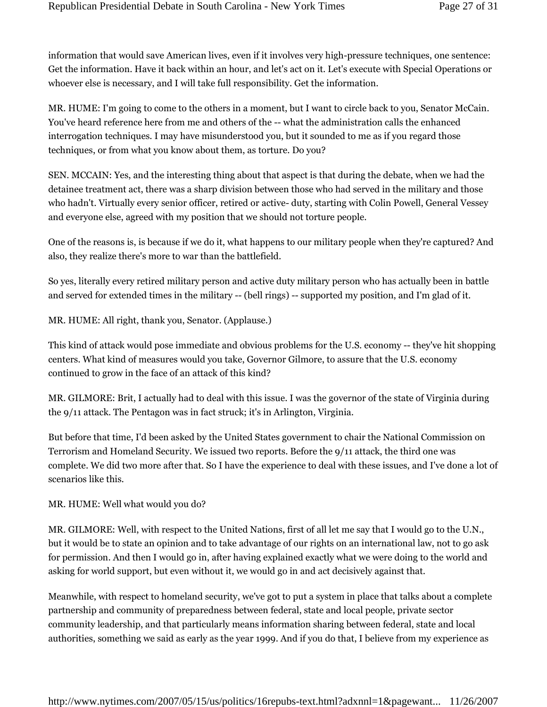information that would save American lives, even if it involves very high-pressure techniques, one sentence: Get the information. Have it back within an hour, and let's act on it. Let's execute with Special Operations or whoever else is necessary, and I will take full responsibility. Get the information.

MR. HUME: I'm going to come to the others in a moment, but I want to circle back to you, Senator McCain. You've heard reference here from me and others of the -- what the administration calls the enhanced interrogation techniques. I may have misunderstood you, but it sounded to me as if you regard those techniques, or from what you know about them, as torture. Do you?

SEN. MCCAIN: Yes, and the interesting thing about that aspect is that during the debate, when we had the detainee treatment act, there was a sharp division between those who had served in the military and those who hadn't. Virtually every senior officer, retired or active- duty, starting with Colin Powell, General Vessey and everyone else, agreed with my position that we should not torture people.

One of the reasons is, is because if we do it, what happens to our military people when they're captured? And also, they realize there's more to war than the battlefield.

So yes, literally every retired military person and active duty military person who has actually been in battle and served for extended times in the military -- (bell rings) -- supported my position, and I'm glad of it.

MR. HUME: All right, thank you, Senator. (Applause.)

This kind of attack would pose immediate and obvious problems for the U.S. economy -- they've hit shopping centers. What kind of measures would you take, Governor Gilmore, to assure that the U.S. economy continued to grow in the face of an attack of this kind?

MR. GILMORE: Brit, I actually had to deal with this issue. I was the governor of the state of Virginia during the 9/11 attack. The Pentagon was in fact struck; it's in Arlington, Virginia.

But before that time, I'd been asked by the United States government to chair the National Commission on Terrorism and Homeland Security. We issued two reports. Before the 9/11 attack, the third one was complete. We did two more after that. So I have the experience to deal with these issues, and I've done a lot of scenarios like this.

MR. HUME: Well what would you do?

MR. GILMORE: Well, with respect to the United Nations, first of all let me say that I would go to the U.N., but it would be to state an opinion and to take advantage of our rights on an international law, not to go ask for permission. And then I would go in, after having explained exactly what we were doing to the world and asking for world support, but even without it, we would go in and act decisively against that.

Meanwhile, with respect to homeland security, we've got to put a system in place that talks about a complete partnership and community of preparedness between federal, state and local people, private sector community leadership, and that particularly means information sharing between federal, state and local authorities, something we said as early as the year 1999. And if you do that, I believe from my experience as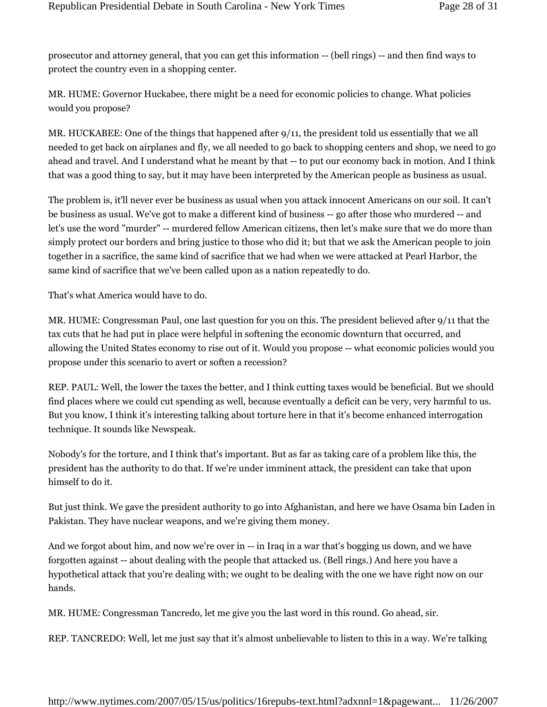prosecutor and attorney general, that you can get this information -- (bell rings) -- and then find ways to protect the country even in a shopping center.

MR. HUME: Governor Huckabee, there might be a need for economic policies to change. What policies would you propose?

MR. HUCKABEE: One of the things that happened after 9/11, the president told us essentially that we all needed to get back on airplanes and fly, we all needed to go back to shopping centers and shop, we need to go ahead and travel. And I understand what he meant by that -- to put our economy back in motion. And I think that was a good thing to say, but it may have been interpreted by the American people as business as usual.

The problem is, it'll never ever be business as usual when you attack innocent Americans on our soil. It can't be business as usual. We've got to make a different kind of business -- go after those who murdered -- and let's use the word "murder" -- murdered fellow American citizens, then let's make sure that we do more than simply protect our borders and bring justice to those who did it; but that we ask the American people to join together in a sacrifice, the same kind of sacrifice that we had when we were attacked at Pearl Harbor, the same kind of sacrifice that we've been called upon as a nation repeatedly to do.

That's what America would have to do.

MR. HUME: Congressman Paul, one last question for you on this. The president believed after 9/11 that the tax cuts that he had put in place were helpful in softening the economic downturn that occurred, and allowing the United States economy to rise out of it. Would you propose -- what economic policies would you propose under this scenario to avert or soften a recession?

REP. PAUL: Well, the lower the taxes the better, and I think cutting taxes would be beneficial. But we should find places where we could cut spending as well, because eventually a deficit can be very, very harmful to us. But you know, I think it's interesting talking about torture here in that it's become enhanced interrogation technique. It sounds like Newspeak.

Nobody's for the torture, and I think that's important. But as far as taking care of a problem like this, the president has the authority to do that. If we're under imminent attack, the president can take that upon himself to do it.

But just think. We gave the president authority to go into Afghanistan, and here we have Osama bin Laden in Pakistan. They have nuclear weapons, and we're giving them money.

And we forgot about him, and now we're over in -- in Iraq in a war that's bogging us down, and we have forgotten against -- about dealing with the people that attacked us. (Bell rings.) And here you have a hypothetical attack that you're dealing with; we ought to be dealing with the one we have right now on our hands.

MR. HUME: Congressman Tancredo, let me give you the last word in this round. Go ahead, sir.

REP. TANCREDO: Well, let me just say that it's almost unbelievable to listen to this in a way. We're talking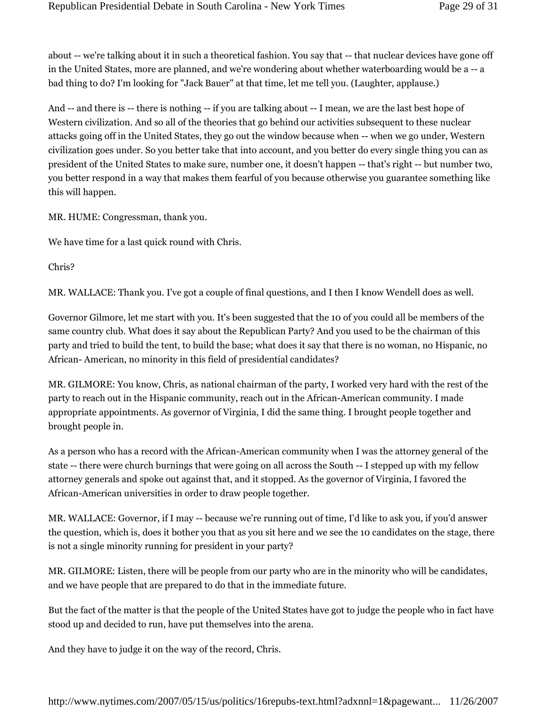about -- we're talking about it in such a theoretical fashion. You say that -- that nuclear devices have gone off in the United States, more are planned, and we're wondering about whether waterboarding would be a -- a bad thing to do? I'm looking for "Jack Bauer" at that time, let me tell you. (Laughter, applause.)

And -- and there is -- there is nothing -- if you are talking about -- I mean, we are the last best hope of Western civilization. And so all of the theories that go behind our activities subsequent to these nuclear attacks going off in the United States, they go out the window because when -- when we go under, Western civilization goes under. So you better take that into account, and you better do every single thing you can as president of the United States to make sure, number one, it doesn't happen -- that's right -- but number two, you better respond in a way that makes them fearful of you because otherwise you guarantee something like this will happen.

MR. HUME: Congressman, thank you.

We have time for a last quick round with Chris.

Chris?

MR. WALLACE: Thank you. I've got a couple of final questions, and I then I know Wendell does as well.

Governor Gilmore, let me start with you. It's been suggested that the 10 of you could all be members of the same country club. What does it say about the Republican Party? And you used to be the chairman of this party and tried to build the tent, to build the base; what does it say that there is no woman, no Hispanic, no African- American, no minority in this field of presidential candidates?

MR. GILMORE: You know, Chris, as national chairman of the party, I worked very hard with the rest of the party to reach out in the Hispanic community, reach out in the African-American community. I made appropriate appointments. As governor of Virginia, I did the same thing. I brought people together and brought people in.

As a person who has a record with the African-American community when I was the attorney general of the state -- there were church burnings that were going on all across the South -- I stepped up with my fellow attorney generals and spoke out against that, and it stopped. As the governor of Virginia, I favored the African-American universities in order to draw people together.

MR. WALLACE: Governor, if I may -- because we're running out of time, I'd like to ask you, if you'd answer the question, which is, does it bother you that as you sit here and we see the 10 candidates on the stage, there is not a single minority running for president in your party?

MR. GILMORE: Listen, there will be people from our party who are in the minority who will be candidates, and we have people that are prepared to do that in the immediate future.

But the fact of the matter is that the people of the United States have got to judge the people who in fact have stood up and decided to run, have put themselves into the arena.

And they have to judge it on the way of the record, Chris.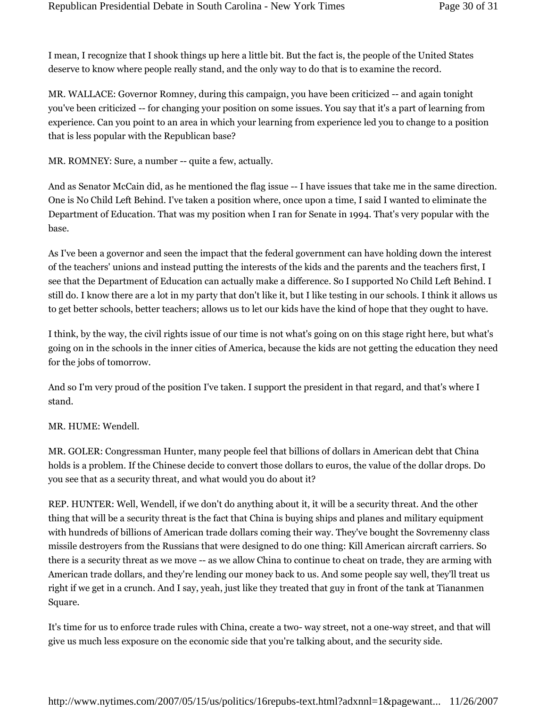I mean, I recognize that I shook things up here a little bit. But the fact is, the people of the United States deserve to know where people really stand, and the only way to do that is to examine the record.

MR. WALLACE: Governor Romney, during this campaign, you have been criticized -- and again tonight you've been criticized -- for changing your position on some issues. You say that it's a part of learning from experience. Can you point to an area in which your learning from experience led you to change to a position that is less popular with the Republican base?

MR. ROMNEY: Sure, a number -- quite a few, actually.

And as Senator McCain did, as he mentioned the flag issue -- I have issues that take me in the same direction. One is No Child Left Behind. I've taken a position where, once upon a time, I said I wanted to eliminate the Department of Education. That was my position when I ran for Senate in 1994. That's very popular with the base.

As I've been a governor and seen the impact that the federal government can have holding down the interest of the teachers' unions and instead putting the interests of the kids and the parents and the teachers first, I see that the Department of Education can actually make a difference. So I supported No Child Left Behind. I still do. I know there are a lot in my party that don't like it, but I like testing in our schools. I think it allows us to get better schools, better teachers; allows us to let our kids have the kind of hope that they ought to have.

I think, by the way, the civil rights issue of our time is not what's going on on this stage right here, but what's going on in the schools in the inner cities of America, because the kids are not getting the education they need for the jobs of tomorrow.

And so I'm very proud of the position I've taken. I support the president in that regard, and that's where I stand.

# MR. HUME: Wendell.

MR. GOLER: Congressman Hunter, many people feel that billions of dollars in American debt that China holds is a problem. If the Chinese decide to convert those dollars to euros, the value of the dollar drops. Do you see that as a security threat, and what would you do about it?

REP. HUNTER: Well, Wendell, if we don't do anything about it, it will be a security threat. And the other thing that will be a security threat is the fact that China is buying ships and planes and military equipment with hundreds of billions of American trade dollars coming their way. They've bought the Sovremenny class missile destroyers from the Russians that were designed to do one thing: Kill American aircraft carriers. So there is a security threat as we move -- as we allow China to continue to cheat on trade, they are arming with American trade dollars, and they're lending our money back to us. And some people say well, they'll treat us right if we get in a crunch. And I say, yeah, just like they treated that guy in front of the tank at Tiananmen Square.

It's time for us to enforce trade rules with China, create a two- way street, not a one-way street, and that will give us much less exposure on the economic side that you're talking about, and the security side.